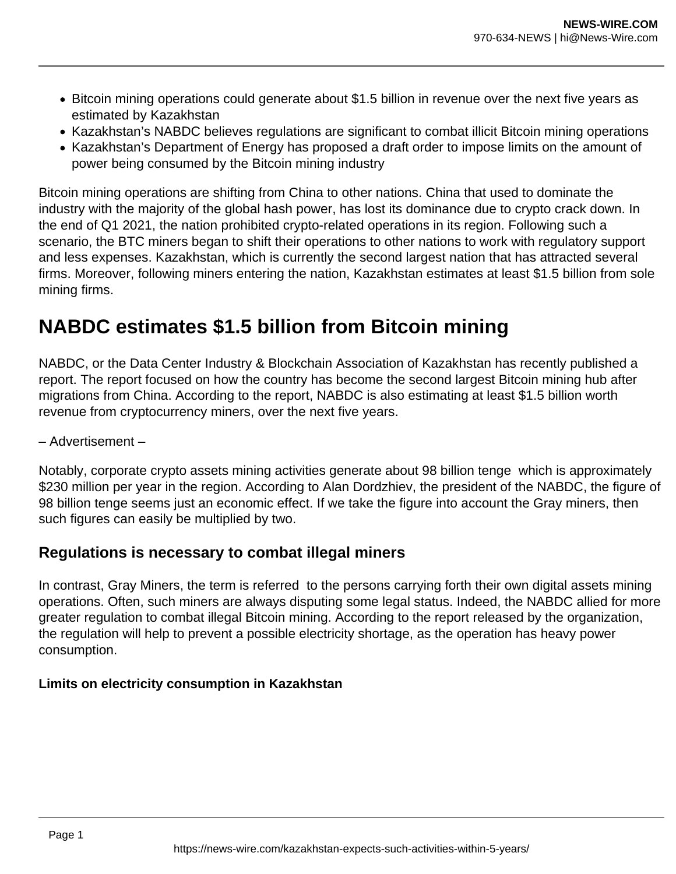- Bitcoin mining operations could generate about \$1.5 billion in revenue over the next five years as estimated by Kazakhstan
- Kazakhstan's NABDC believes regulations are significant to combat illicit Bitcoin mining operations
- Kazakhstan's Department of Energy has proposed a draft order to impose limits on the amount of power being consumed by the Bitcoin mining industry

Bitcoin mining operations are shifting from China to other nations. China that used to dominate the industry with the majority of the global hash power, has lost its dominance due to crypto crack down. In the end of Q1 2021, the nation prohibited crypto-related operations in its region. Following such a scenario, the BTC miners began to shift their operations to other nations to work with regulatory support and less expenses. Kazakhstan, which is currently the second largest nation that has attracted several firms. Moreover, following miners entering the nation, Kazakhstan estimates at least \$1.5 billion from sole mining firms.

## **NABDC estimates \$1.5 billion from Bitcoin mining**

NABDC, or the Data Center Industry & Blockchain Association of Kazakhstan has recently published a report. The report focused on how the country has become the second largest Bitcoin mining hub after migrations from China. According to the report, NABDC is also estimating at least \$1.5 billion worth revenue from cryptocurrency miners, over the next five years.

– Advertisement –

Notably, corporate crypto assets mining activities generate about 98 billion tenge which is approximately \$230 million per year in the region. According to Alan Dordzhiev, the president of the NABDC, the figure of 98 billion tenge seems just an economic effect. If we take the figure into account the Gray miners, then such figures can easily be multiplied by two.

## **Regulations is necessary to combat illegal miners**

In contrast, Gray Miners, the term is referred to the persons carrying forth their own digital assets mining operations. Often, such miners are always disputing some legal status. Indeed, the NABDC allied for more greater regulation to combat illegal Bitcoin mining. According to the report released by the organization, the regulation will help to prevent a possible electricity shortage, as the operation has heavy power consumption.

## **Limits on electricity consumption in Kazakhstan**